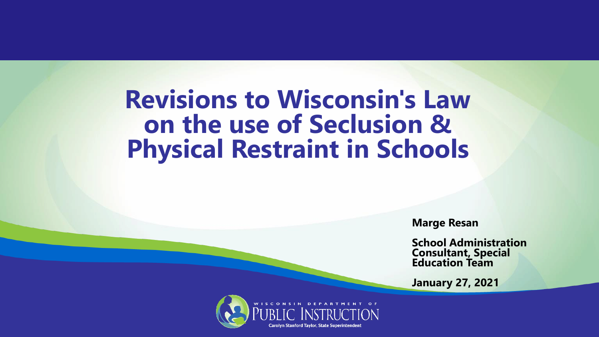#### **Revisions to Wisconsin's Law on the use of Seclusion & Physical Restraint in Schools**

**Marge Resan**

**School Administration Consultant, Special Education Team**

**January 27, 2021**

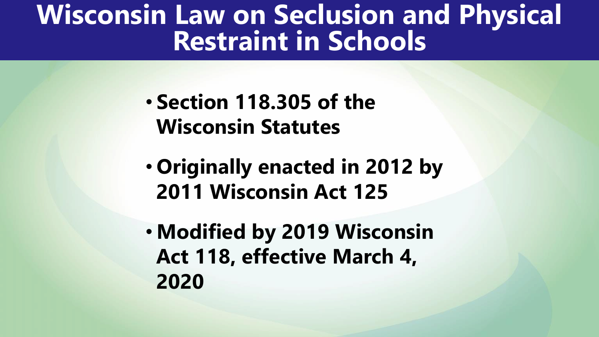#### **Wisconsin Law on Seclusion and Physical Restraint in Schools**

- **Section 118.305 of the Wisconsin Statutes**
- **Originally enacted in 2012 by 2011 Wisconsin Act 125**
- **Modified by 2019 Wisconsin Act 118, effective March 4, 2020**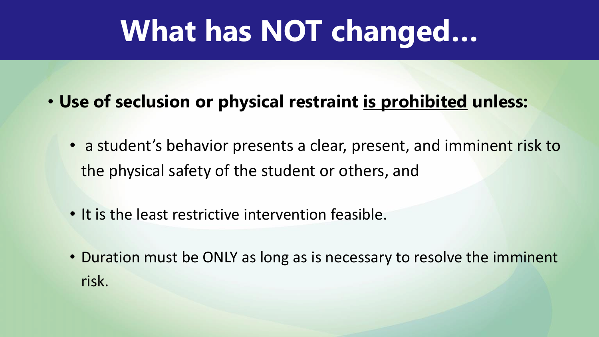## **What has NOT changed…**

- **Use of seclusion or physical restraint is prohibited unless:**
	- a student's behavior presents a clear, present, and imminent risk to the physical safety of the student or others, and
	- It is the least restrictive intervention feasible.
	- Duration must be ONLY as long as is necessary to resolve the imminent risk.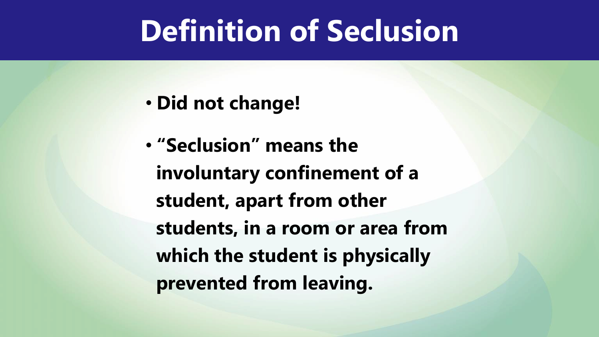## **Definition of Seclusion**

- **Did not change!**
- **"Seclusion" means the involuntary confinement of a student, apart from other students, in a room or area from which the student is physically prevented from leaving.**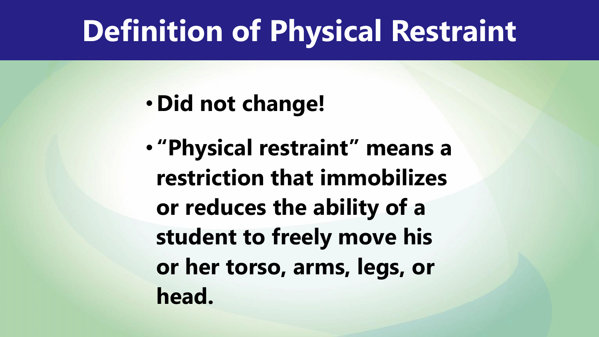## **Definition of Physical Restraint**

• **Did not change!**

• **"Physical restraint" means a restriction that immobilizes or reduces the ability of a student to freely move his or her torso, arms, legs, or head.**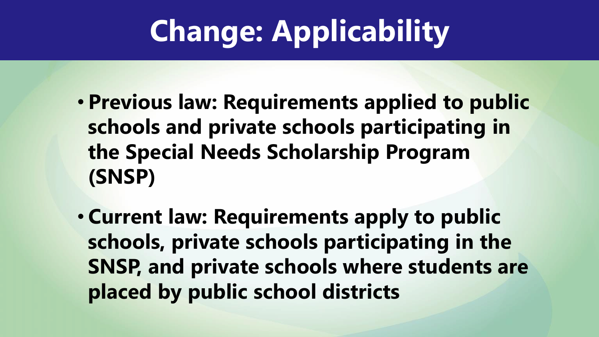# **Change: Applicability**

- **Previous law: Requirements applied to public schools and private schools participating in the Special Needs Scholarship Program (SNSP)**
- **Current law: Requirements apply to public schools, private schools participating in the SNSP, and private schools where students are placed by public school districts**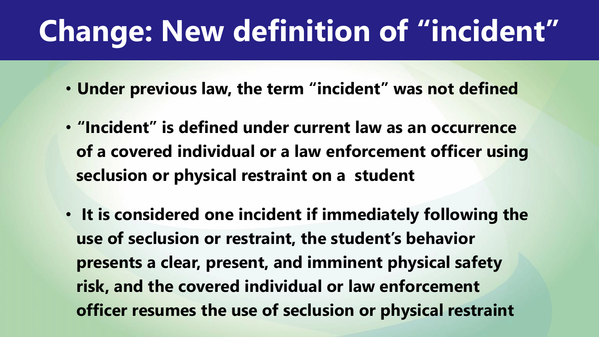## **Change: New definition of "incident"**

- **Under previous law, the term "incident" was not defined**
- **"Incident" is defined under current law as an occurrence of a covered individual or a law enforcement officer using seclusion or physical restraint on a student**
- **It is considered one incident if immediately following the use of seclusion or restraint, the student's behavior presents a clear, present, and imminent physical safety risk, and the covered individual or law enforcement officer resumes the use of seclusion or physical restraint**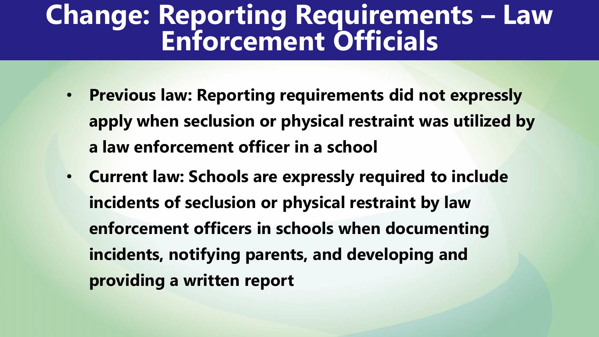#### **Change: Reporting Requirements – Law Enforcement Officials**

- **Previous law: Reporting requirements did not expressly apply when seclusion or physical restraint was utilized by a law enforcement officer in a school**
- **Current law: Schools are expressly required to include incidents of seclusion or physical restraint by law enforcement officers in schools when documenting incidents, notifying parents, and developing and providing a written report**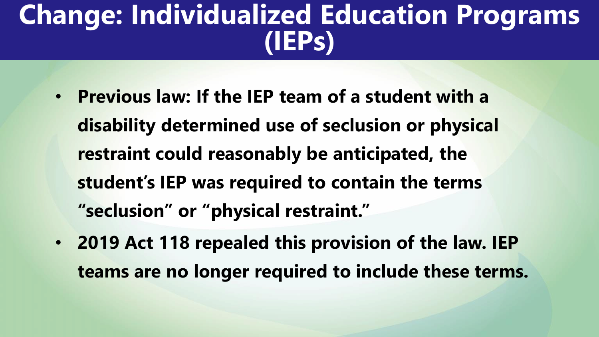### **Change: Individualized Education Programs (IEPs)**

- **Previous law: If the IEP team of a student with a disability determined use of seclusion or physical restraint could reasonably be anticipated, the student's IEP was required to contain the terms "seclusion" or "physical restraint."**
- **2019 Act 118 repealed this provision of the law. IEP teams are no longer required to include these terms.**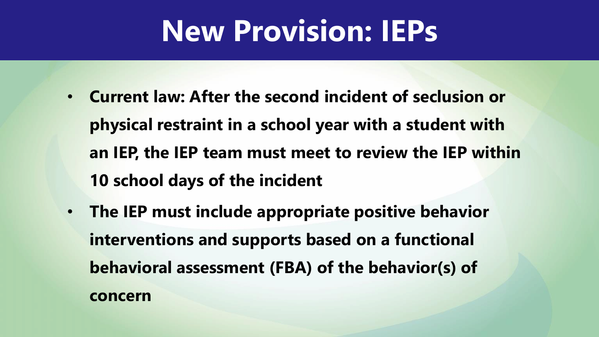## **New Provision: IEPs**

- **Current law: After the second incident of seclusion or physical restraint in a school year with a student with an IEP, the IEP team must meet to review the IEP within 10 school days of the incident**
- **The IEP must include appropriate positive behavior interventions and supports based on a functional behavioral assessment (FBA) of the behavior(s) of concern**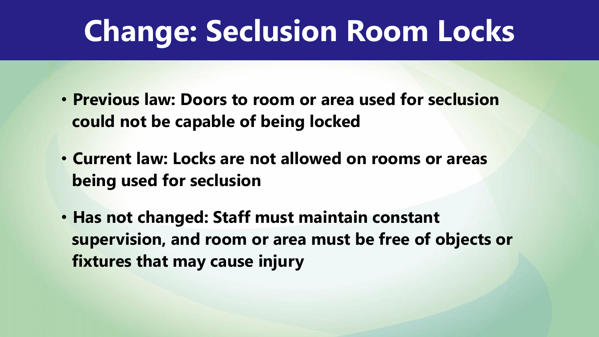## **Change: Seclusion Room Locks**

- **Previous law: Doors to room or area used for seclusion could not be capable of being locked**
- **Current law: Locks are not allowed on rooms or areas being used for seclusion**
- **Has not changed: Staff must maintain constant supervision, and room or area must be free of objects or fixtures that may cause injury**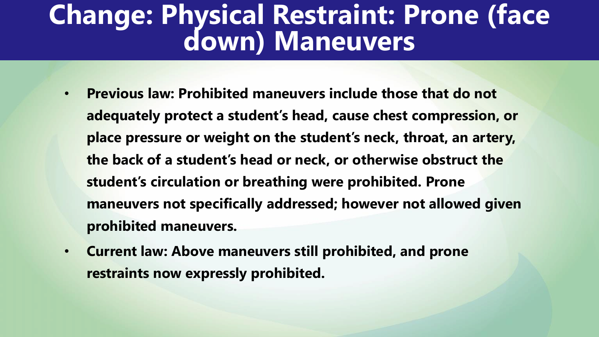#### **Change: Physical Restraint: Prone (face down) Maneuvers**

- **Previous law: Prohibited maneuvers include those that do not adequately protect a student's head, cause chest compression, or place pressure or weight on the student's neck, throat, an artery, the back of a student's head or neck, or otherwise obstruct the student's circulation or breathing were prohibited. Prone maneuvers not specifically addressed; however not allowed given prohibited maneuvers.**
- **Current law: Above maneuvers still prohibited, and prone restraints now expressly prohibited.**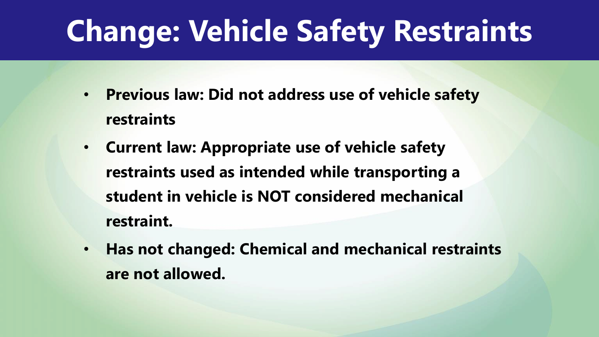## **Change: Vehicle Safety Restraints**

- **Previous law: Did not address use of vehicle safety restraints**
- **Current law: Appropriate use of vehicle safety restraints used as intended while transporting a student in vehicle is NOT considered mechanical restraint.**
- **Has not changed: Chemical and mechanical restraints are not allowed.**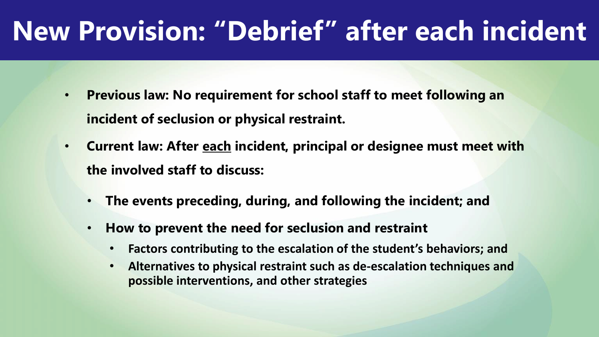## **New Provision: "Debrief" after each incident**

- **Previous law: No requirement for school staff to meet following an incident of seclusion or physical restraint.**
- **Current law: After each incident, principal or designee must meet with the involved staff to discuss:**
	- **The events preceding, during, and following the incident; and**
	- **How to prevent the need for seclusion and restraint**
		- **Factors contributing to the escalation of the student's behaviors; and**
		- **Alternatives to physical restraint such as de-escalation techniques and possible interventions, and other strategies**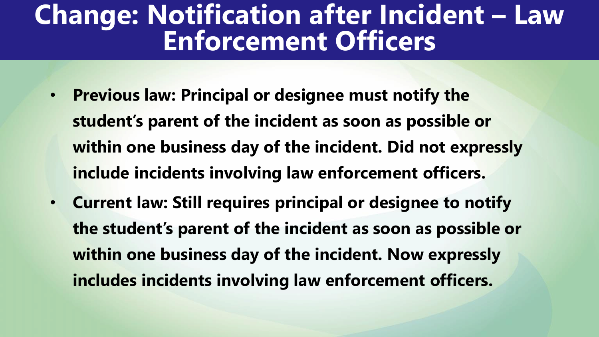#### **Change: Notification after Incident – Law Enforcement Officers**

- **Previous law: Principal or designee must notify the student's parent of the incident as soon as possible or within one business day of the incident. Did not expressly include incidents involving law enforcement officers.**
- **Current law: Still requires principal or designee to notify the student's parent of the incident as soon as possible or within one business day of the incident. Now expressly includes incidents involving law enforcement officers.**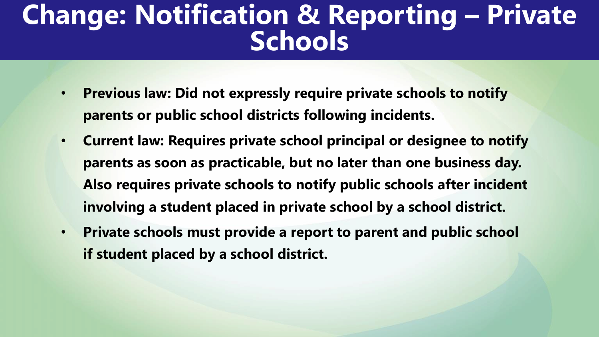#### **Change: Notification & Reporting – Private Schools**

- **Previous law: Did not expressly require private schools to notify parents or public school districts following incidents.**
- **Current law: Requires private school principal or designee to notify parents as soon as practicable, but no later than one business day. Also requires private schools to notify public schools after incident involving a student placed in private school by a school district.**
- **Private schools must provide a report to parent and public school if student placed by a school district.**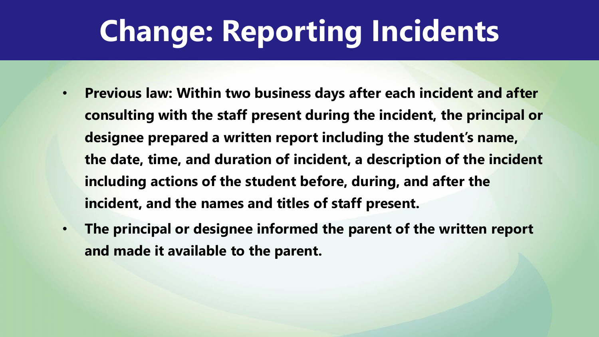## **Change: Reporting Incidents**

- **Previous law: Within two business days after each incident and after consulting with the staff present during the incident, the principal or designee prepared a written report including the student's name, the date, time, and duration of incident, a description of the incident including actions of the student before, during, and after the incident, and the names and titles of staff present.**
- **The principal or designee informed the parent of the written report and made it available to the parent.**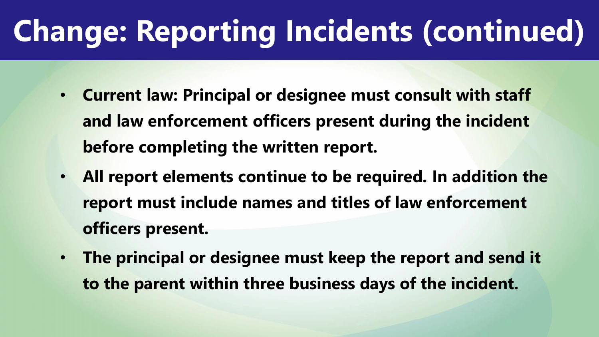## **Change: Reporting Incidents (continued)**

- **Current law: Principal or designee must consult with staff and law enforcement officers present during the incident before completing the written report.**
- **All report elements continue to be required. In addition the report must include names and titles of law enforcement officers present.**
- **The principal or designee must keep the report and send it to the parent within three business days of the incident.**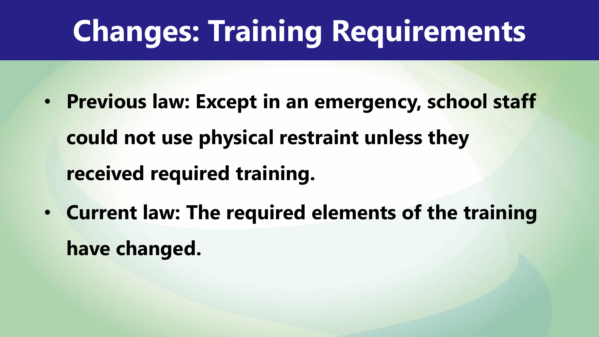## **Changes: Training Requirements**

- **Previous law: Except in an emergency, school staff could not use physical restraint unless they received required training.**
- **Current law: The required elements of the training have changed.**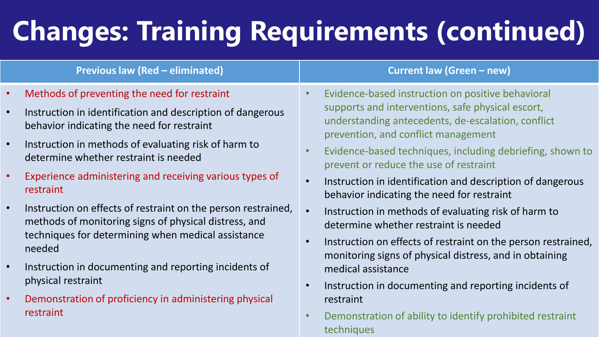## **Changes: Training Requirements (continued)**

#### **Previous law (Red – eliminated) Current law (Green – new)**

- Methods of preventing the need for restraint
- Instruction in identification and description of dangerous behavior indicating the need for restraint
- Instruction in methods of evaluating risk of harm to determine whether restraint is needed
- Experience administering and receiving various types of restraint
- Instruction on effects of restraint on the person restrained, methods of monitoring signs of physical distress, and techniques for determining when medical assistance needed
- Instruction in documenting and reporting incidents of physical restraint
- Demonstration of proficiency in administering physical restraint

- Evidence-based instruction on positive behavioral supports and interventions, safe physical escort, understanding antecedents, de-escalation, conflict prevention, and conflict management
- Evidence-based techniques, including debriefing, shown to prevent or reduce the use of restraint
- Instruction in identification and description of dangerous behavior indicating the need for restraint
- Instruction in methods of evaluating risk of harm to determine whether restraint is needed
- Instruction on effects of restraint on the person restrained, monitoring signs of physical distress, and in obtaining medical assistance
- Instruction in documenting and reporting incidents of restraint
- Demonstration of ability to identify prohibited restraint techniques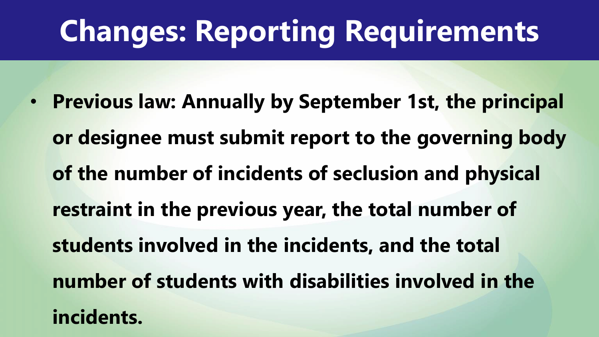## **Changes: Reporting Requirements**

• **Previous law: Annually by September 1st, the principal or designee must submit report to the governing body of the number of incidents of seclusion and physical restraint in the previous year, the total number of students involved in the incidents, and the total number of students with disabilities involved in the incidents.**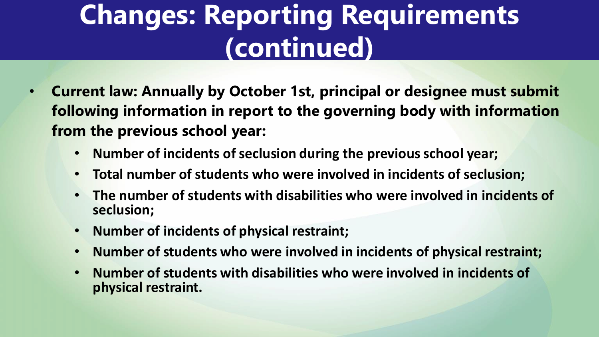## **Changes: Reporting Requirements (continued)**

- **Current law: Annually by October 1st, principal or designee must submit following information in report to the governing body with information from the previous school year:**
	- **Number of incidents of seclusion during the previous school year;**
	- **Total number of students who were involved in incidents of seclusion;**
	- **The number of students with disabilities who were involved in incidents of seclusion;**
	- **Number of incidents of physical restraint;**
	- **Number of students who were involved in incidents of physical restraint;**
	- **Number of students with disabilities who were involved in incidents of physical restraint.**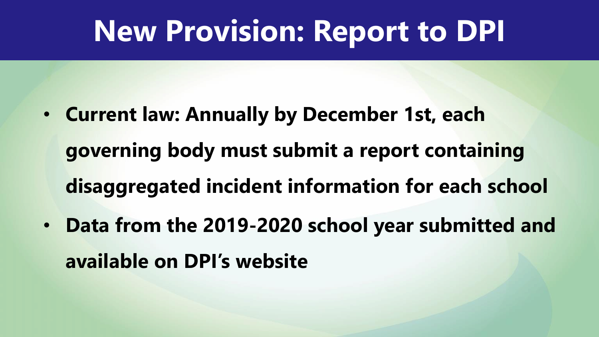## **New Provision: Report to DPI**

- **Current law: Annually by December 1st, each governing body must submit a report containing disaggregated incident information for each school**
- **Data from the 2019-2020 school year submitted and available on DPI's website**